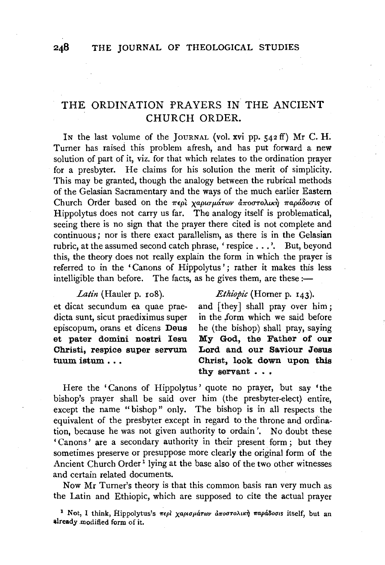# THE ORDINATION PRAYERS IN THE ANCIENT CHURCH ORDER.

In the last volume of the JOURNAL (vol. xvi pp. 542 ff) Mr C. H. Turner has raised this problem afresh, and has put forward a new solution of part of it, viz. for that which relates to the ordination prayer for a presbyter. He claims for his solution the merit of simplicity. This may be granted, though the analogy between the rubrical methods of the Gelasian Sacramentary and the ways of the much earlier Eastern Church Order based on the  $\pi\epsilon\rho\lambda$  χαρισμάτων αποστολική παράδοσις of Hippolytus does not carry us far. The analogy itself is problematical, seeing there is no sign that the prayer there cited is not complete and continuous; nor is there exact parallelism, as there is in the Gelasian rubric, at the assumed second catch phrase, ' respice ... '. But, beyond this, the theory does not really explain the form in which the prayer is referred to in the 'Canons of Hippolytus'; rather it makes this less intelligible than before. The facts, as he gives them, are these  $:$ 

et dicat secundum ea quae prae- and [they] shall pray over him; dicta sunt, sicut praediximus super in the form which we said before episcopum, orans et dicens Deus he (the bishop) shall pray, saying et pater domini nostri Iesu My God, the Father of our Christi, respice super servum Lord and our Saviour Jesus tuum istum ... Christ, look down upon this

*Latin* (Hauler p. 108). *Ethiopic* (Horner p. 143).

thy servant . . .

Here the 'Canons of Hippolytus' quote no prayer, but say 'the bishop's prayer shall be said over him (the presbyter-elect) entire, except the name " bishop " only. The bishop is in all respects the equivalent of the presbyter except in regard to the throne and ordination, because he was not given authority to ordain'. No doubt these 'Canons' are a secondary authority in their present form; but they sometimes preserve or presuppose more clearly the original form of the Ancient Church Order<sup>1</sup> lying at the base also of the two other witnesses and certain related documents.

Now Mr Turner's theory is that this common basis ran very much as the Latin and Ethiopic, which are supposed to cite the actual prayer

<sup>&</sup>lt;sup>1</sup> Not, I think, Hippolytus's  $\pi \epsilon \rho \lambda$  xapio $\mu$ árov d $\pi$ ooro $\lambda \iota \kappa \eta$   $\pi$ apádoois itself, but an already modified form of it.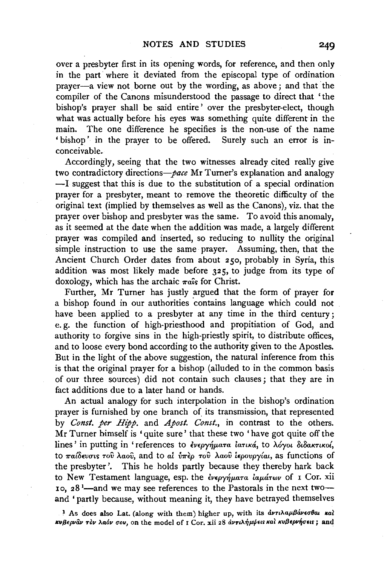over a presbyter first in its opening words, for reference, and then only in the part· where it deviated from the episcopal type of ordination prayer-a view not borne out by the wording, as above; and that the compiler of the Canons misunderstood the passage to direct that 'the bishop's prayer shall be said entire' over the presbyter-elect, though what was actually before his eyes was something quite different in the main. The one difference he specifies is the non-use of the name ' bishop' in the prayer to be offered. Surely such an error is inconceivable.

Accordingly, seeing that the two witnesses already cited really give two contradictory directions- $\phi$ ace Mr Turner's explanation and analogy -I suggest that this is due to the substitution of a special ordination prayer for a presbyter, meant to remove the theoretic difficulty of the original text (implied by themselves as well as the Canons), viz. that the prayer over bishop and presbyter was the same. To avoid this anomaly, as it seemed at the date when the addition was made, a largely different prayer was compiled and inserted, so reducing to nullity the original simple instruction to use the same prayer. Assuming, then, that the Ancient Church Order dates from about 250, probably in Syria, this addition was most likely made before 325, to judge from its type of doxology, which has the archaic  $\pi a\hat{i}$ s for Christ.

Further, Mr Turner has justly argued that the form of prayer for a bishop found in our authorities 'contains language which could not have been applied to a presbyter at any time in the third century; e. g. the function of high-priesthood and propitiation of God, and authority to forgive sins in the high-priestly spirit, to distribute offices, and to loose every bond according to the authority given to the Apostles. But in the light of the above suggestion, the natural inference from this is that the original prayer for a bishop (alluded to in the common basis of our three sources) did not contain such clauses ; that they are in fact additions due to a later hand or hands.

An actual analogy for such interpolation in the bishop's ordination prayer is furnished by one branch of its transmission, that represented by *Const. per Hipp.* and *Apost. Const.,* in contrast to the others. Mr Turner himself is 'quite sure' that these two 'have got quite off the lines' in putting in 'references to ενεργήματα *ιατικά*, to λόγοι διδακτικοί, to παίδευσις του λαού, and to *ai ύπερ του λαού iερουργίαι*, as functions of the presbyter'. This he holds partly because they thereby hark back to New Testament language, esp. the ενεργήματα *iaμάτων* of 1 Cor. xii 10,  $28^{1}$ —and we may see references to the Pastorals in the next twoand 'partly because, without meaning it, they have betrayed themselves

<sup>1</sup> As does also Lat. (along with them) higher up, with its  $\frac{dy}{dx}a\theta$ u kal *κυβερναν τον λαόν σου*, on the model of I Cor. xii 28 αντιλήμψεις και κυβερνήσεις; and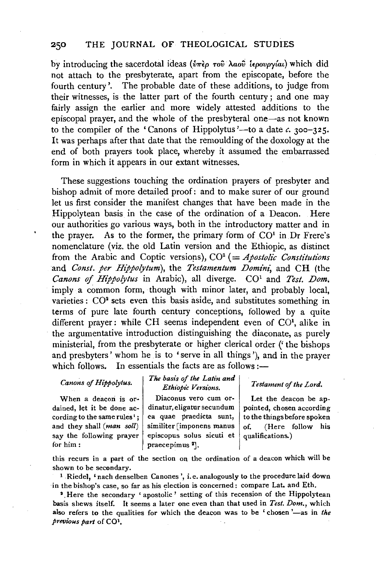# 250 THE JOURNAL OF THEOLOGICAL STUDIES

by introducing the sacerdotal ideas ( $\delta \pi \epsilon \rho \hat{\rho}$   $\gamma \delta \rho \hat{\sigma}$   $\lambda a \hat{\sigma} \hat{\sigma}$  *iepovpy{ai*) which did not attach to the presbyterate, apart from the episcopate, before the fourth century'. The probable date of these additions, to judge from their witnesses, is the latter part of the fourth century; and one may fairly assign the earlier and more widely attested additions to the episcopal prayer, and the whole of the presbyteral one-as not known to the compiler of the 'Canons of Hippolytus'—to a date  $c$ .  $300-325$ . It was perhaps after that date that the remoulding of the doxology at the end of both prayers took place, whereby it assumed the embarrassed form in which it appears in our extant witnesses.

These suggestions touching the ordination prayers of presbyter and bishop admit of more detailed proof: and to make surer of our ground let us first consider the manifest changes that have been made in the Hippolytean basis in the case of the ordination of a Deacon. Here our authorities go various ways, both in the introductory matter and in the prayer. As to the former, the primary form of  $CO<sup>t</sup>$  in Dr Frere's nomenclature (viz. the old Latin version and the Ethiopic, as distinct from the Arabic and Coptic versions),  $CO^2$  (= Apostolic Constitutions and *Const. per Hippolytum*), the *Testamentum Domini*, and CH (the *Canons of Hippolytus* in Arabic), all diverge. C01 and *Test. Dom.*  imply a common form, though with minor later, and probably local, varieties : CO<sup>2</sup> sets even this basis aside, and substitutes something in terms of pure late fourth century conceptions, followed by a quite different prayer: while CH seems independent even of CO<sup>1</sup>, alike in the argumentative introduction distinguishing the diaconate, as purely ministerial, from the presbyterate or higher clerical order (' the bishops and presbyters' whom he is to 'serve in all things'), and in the prayer which follows. In essentials the facts are as follows :-

### Canons of Hippolytus.

When a deacon is or· dained, let it be done according to the same rules'; and they shall *(man sol/)*  say the following prayer for him:

*The basis of the Latin and Ethl"opic Versions.* 

ea quae praedicta sunt, similiter [imponens manus episcopus solus sicuti et

Diaconus vero cum ordinatur, eligatur secundum

# *Testament of the Lord.*

Let the deacon be appointed, chosen according to the things before spoken of. (Here follow his qualifications.)

this recurs in a part of the section on the ordination of a deacon which will be shown to be secondary.

praecepimus<sup>2</sup>].

1 Riedel, 'nach denselben Canones ', i. e. analogously to the procedure laid down in the bishop's case, so far as his election is concerned: compare Lat. and Eth.

<sup>2</sup> Here the secondary ' apostolic' setting of this recension of the Hippolytean basis shews itself. It seems a later one even than that used in *Test. Dom.,* which also refers to the qualities for which the deacon was to be 'chosen '-as in the *previous part* of CO<sup>1</sup>.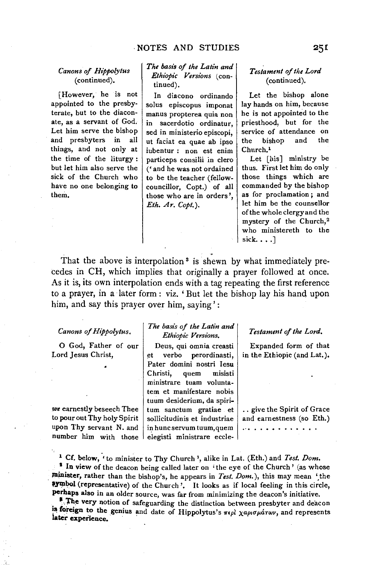### *Canons of Hippolytus*  (continued).

[However, he is not appointed to the presbyterate, but to the diaconate, as a servant of God. Let him serve the bishop and presbyters in all things, and not only at the time of the liturgy : but let him also serve the sick of the Church who have no one belonging to them.

### *The basis of the Latin and Ethiopic Versions* (continued).

In diacono ordinando solus episcopus imponat manus propterea quia non in sacerdotio ordinatur, sed in ministerio episcopi, ut faciat ea quae ab ipso iubentur : non est enim particeps consilii in clero (' and he was not ordained to be the teacher (fellowcouncillor, Copt.) of all those who are in orders', *Eth. Ar. Copt.).* 

# *Testament of the Lord*  (continued).

Let the bishop alone lay hands on him, because he is not appointed to the priesthood, but for the service of attendance on the bishop and the Church.1

Let [his] ministry be thus. First let him do only those things which are commanded by the bishop as for proclamation ; and let him be the counsellor of the whole clergy and the mystery of the Church,<sup>2</sup> who ministereth to the  $sick.$ ..]

That the above is interpolation<sup>3</sup> is shewn by what immediately precedes in CH, which implies that originally a prayer followed at once. As it is, its own interpolation ends with a tag repeating the first reference to a prayer, in a later form : viz. 'But let the bishop lay his hand upon him, and say this prayer over him, saying' :

#### *Canons of Hippolytus.*

0 God, Father of our Lord Jesus Christ,

*we* earnestly beseech Thee to pour out Thy holy Spirit upon Thy servant N. and number him with those

### *The basis of the Latin and Ethiopic Versions.*

Deus, qui omnia creasti et verbo perordinasti, Pater domini nostri Iesu Christi, quem misisti ministrare tuam voluntatem et manifestare nobis tuum desiderium, da spiritum sanctum gratiae et sollicitudinis et industriae in hunc servum tuum, quem elegisti ministrare eccle-

### *Testament of the Lord.*

Expanded form of that in the Ethiopic (and Lat.).

.. give the Spirit of Grace and earnestness (so Eth.)

<sup>1</sup> Cf. below, 'to minister to Thy Church', alike in Lat. (Eth.) and *Test. Dom.* <sup>2</sup> In view of the deacon being called later on 'the eye of the Church' (as whose minister, rather than the bishop's, he appears in *Test. Dom.*), this may mean 'the **Aymbol** (representative) of the Church'. It looks as if local feeling in this circle, perhaps also in an older source, was far from minimizing the deacon's initiative .

. The very notion of safeguarding the distinction between presbyter and deacon is foreign to the genius and date of Hippolytus's περλ χαρισμάτων, and represents later experience.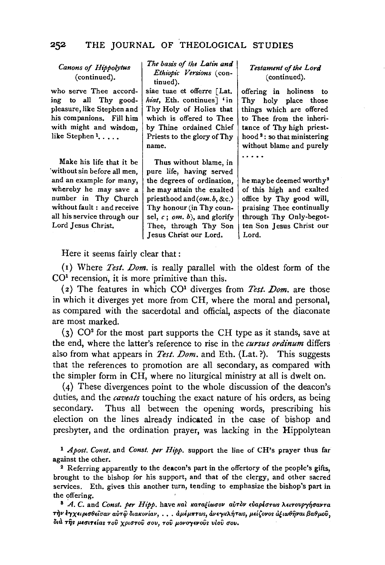### *Canons of Hippolytus*  (continued).

who serve Thee according to all Thy goodpleasure, like Stephen and his companions. Fill him with might and wisdom, like Stephen<sup>1</sup>....

Make his life that it be "without sin before all men, and an example for many, whereby he may save a number in Thy Church without fault : and receive all his service through our Lord Jesus Christ.

*The basis of the Latin anti Ethiopic Versions* (continued).

siae tuae et offerre [Lat. *hiat,* Eth. continues] 'in Thy Holy of Holies that which is offered to Thee by Thine ordained Chief Priests to the glory of Thy name.

Thus without blame, in pure life, having served the degrees of ordination, he may attain the exalted priesthood and ( *om. b,* &c.) Thy honour (in Thy counsel, *c; om. b),* and glorify Thee, through Thy Son Jesus Christ our Lord.

### *Testament of the Lord*  (continued).

offering in holiness to Thy holy place those things which are offered to Thee from the inheritance of Thy high priesthood<sup>2</sup>: so that ministering without blame and purely

 $\cdots$  .

he may be deemed worthy3 of this high and exalted office by Thy good will, praising Thee continually through Thy Only-begotten Son Jesus Christ our Lord.

Here it seems fairly clear that :

( 1) Where *Test. Dom.* is really parallel with the oldest form of the C01 recension, it is more primitive than this.

( 2) The features in which C01 diverges from *Test. Dom.* are those in which it diverges yet more from CH, where the moral and personal, as compared with the sacerdotal and official, aspects of the diaconate are most marked.

 $(3)$  CO<sup>2</sup> for the most part supports the CH type as it stands, save at the end, where the latter's reference to rise in the *cursus ordinum* differs also from what appears in *Test. Dom.* and Eth. (Lat. ?). This suggests that the references to promotion are all secondary, as compared with the simpler form in CH, where no liturgical ministry at all is dwelt on.

(4) These divergences point to the whole discussion of the deacon's duties, and the *caveats* touching the exact nature of his orders, as being secondary. Thus all between the opening words, prescribing his election on the lines already indicated in the case of bishop and presbyter, and the ordination prayer, was lacking in the Hippolytean

<sup>1</sup>*.Apost. Const.* and *Const. per Hipp.* support the line of CH's prayer thus far against the other.

2 Referring apparently to the deacon's part in the offertory of the people's gifts, brought to the bishop for his support, and that of the clergy, and other sacred services. Eth. gives this another turn, tending to emphasize the bishop's part in the offering.

<sup>3</sup> A. C. and Const. per Hipp. have και καταξίωσον αυτον ευαρίστως λειτουργήσαντα Tην έγχειρισθείσαν αὐτῷ διακονίαν, . . . ἀμέμπτως, ἀνεγκλήτως, μείζονος ἀξιωθῆναι βαθμοῦ, διά της μεσιτείας του χριστου σου, του μονογενους νίου σου.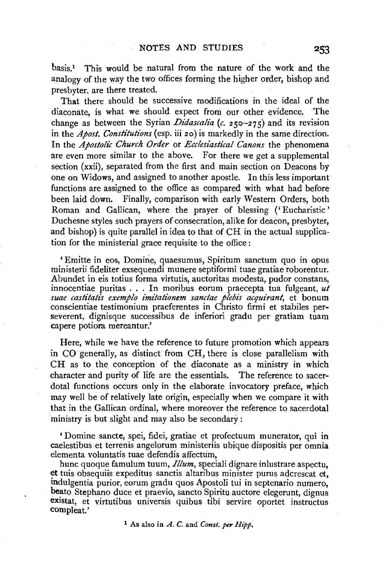basis.1 This would be natural from the nature of the work and the analogy of the way the two offices forming the higher order, bishop and presbyter, are there treated.

That there should be successive modifications in the ideal of the diaconate, is what we should expect from our other evidence. The change as between the Syrian *Didascalia*  $(c. 250 - 275)$  and its revision in the *Apost. Constitutions* (esp. iii 20) is markedly in the same direction. In the *Apostolic Church Order* or *Ecclesiastical Canons* the phenomena are even more similar to the above. For there we get a supplemental section (xxii), separated from the first and main section on Deacons by one on Widows, and assigned to another apostle. In this less important functions are assigned to the office as compared with what had before been laid down. Finally, comparison with early Western Orders, both Roman and Gallican, where the prayer of blessing ('Eucharistic' Duchesne styles such prayers of consecration, alike for deacon, presbyter, and bishop) is quite parallel in idea to that of CH in the actual supplication for the ministerial grace requisite to the office :

'Emitte in eos, Domine, quaesumus, Spiritum sanctum quo in opus ministerii fideliter exsequendi munere septiformi tuae gratiae roborentur. Abundet in eis totius forma virtutis, auctoritas modesta, pudor constans, innocentiae puritas ... In moribus eorum praecepta tua fulgeant, *ut suae castitatis exemplo imitationem sanctae plebis acquirant,* et bonum conscientiae testimonium praeferentes in Christo firmi et stabiles perseverent, dignisque successibus de inferiori gradu per gratiam tuam capere potiora mereantur.'

Here, while we have the reference to future promotion which appears in CO generally, as distinct from CH, there is close parallelism with CH as to the conception of the diaconate as a ministry in which character and purity of life are the essentials. The reference to sacerdotal functions occurs only in the elaborate invocatory preface, which may well be of relatively late origin, especially when we compare it with that in the Gallican ordinal, where moreover the reference to sacerdotal ministry is but slight and may also be secondary:

'Domine sancte, spei, fidei, gratiae et profectuum munerator, qui in caelestibus et terrenis angelorum ministeriis ubique dispositis per omnia elementa voluntatis tuae defendis affectum,

hunc quoque famulum tuum, *Ilium,* speciali dignare inlustrare aspectu, et tuis obsequiis expeditus sanctis altaribus minister purus adcrescat et, indulgentia purior, eorum gradu quos Apostoli tui in septenario numero, beato Stephano duce et praevio, sancto Spiritu auctore elegerunt, dignus existat, et virtutibus universis quibus tibi servire oportet instructus compleat.'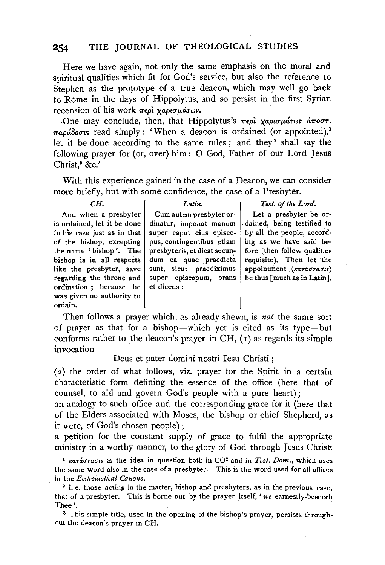# 254 THE JOURNAL OF THEOLOGICAL STUDIES

Here we have again, not only the same emphasis on the moral and spiritual qualities which fit for God's service, but also the reference to Stephen as the prototype of a true deacon, which may well go back to Rome in the days of Hippolytus, and so persist in the first Syrian recension of his work  $\pi\epsilon\rho\partial\chi$   $\chi$ *apiouation*.

One may conclude, then, that Hippolytus's  $\pi \epsilon \rho \hat{i}$  χαρισμάτων άποστ.  $\pi a \rho a \delta o \sigma$  read simply : 'When a deacon is ordained (or appointed),<sup>1</sup> let it be done according to the same rules; and they<sup>2</sup> shall say the following prayer for (or, over) him: 0 God, Father of our Lord Jesus Christ,<sup>3</sup> &c.'

With this experience gained in the case of a Deacon, we can consider more briefly, but with some confidence, the case of a Presbyter.

| CH.                                                                                                                                                                                                                                                                                  | Latin.                                                                                                                                                                                                                                 | Test. of the Lord.                                                                                                                                                                                                                                                |
|--------------------------------------------------------------------------------------------------------------------------------------------------------------------------------------------------------------------------------------------------------------------------------------|----------------------------------------------------------------------------------------------------------------------------------------------------------------------------------------------------------------------------------------|-------------------------------------------------------------------------------------------------------------------------------------------------------------------------------------------------------------------------------------------------------------------|
| And when a presbyter<br>is ordained, let it be done<br>in his case just as in that<br>of the bishop, excepting<br>the name 'bishop'. The<br>bishop is in all respects<br>like the presbyter, save<br>regarding the throne and<br>ordination; because he<br>was given no authority to | Cum autem presbyter or-<br>dinatur, imponat manum<br>super caput eius episco-<br>pus, contingentibus etiam<br>presbyteris, et dicat secun-<br>dum ea quae praedicta<br>sunt, sicut praediximus<br>super episcopum, orans<br>et dicens: | Let a presbyter be or-<br>dained, being testified to<br>by all the people, accord-<br>ing as we have said be-<br>fore (then follow qualities<br>requisite). Then let the<br>appointment $(\kappa a \tau a \sigma \tau a \sigma s)$<br>he thus [much as in Latin]. |
| ordain.                                                                                                                                                                                                                                                                              |                                                                                                                                                                                                                                        |                                                                                                                                                                                                                                                                   |

Then follows a prayer which, as already shewn, is *not* the same sort of prayer as that for a bishop-which yet is cited as its type-but conforms rather to the deacon's prayer in CH,  $(1)$  as regards its simple invocation

Deus et pater domini nostri Iesu Christi ;

(2) the order of what follows, viz. prayer for the Spirit in a certain characteristic form defining the essence of the office (here that of counsel, to aid and govern God's people with a pure heart);

an analogy to such office and the corresponding grace for it (here that of the Elders associated with Moses, the bishop or chief Shepherd, as it were, of God's chosen people);

a petition for the constant supply of grace to fulfil the appropriate ministry in a worthy manner, to the glory of God through Jesus Christ.

1  $\kappa a\tau a\sigma\tau a\sigma$ 's is the idea in question both in CO<sup>2</sup> and in *Test. Dom.*, which uses the same word also in the case of a presbyter. This is the word used for all offices in the *Ecclesiastical Canons.* 

• i. e. those acting in the matter, bishop and presbyters, as in the previous case, that of a presbyter. This is borne out by the prayer itself, *'we* earnestly-beseech Thee'.<br><sup>8</sup> This simple title, used in the opening of the bishop's prayer, persists through-

out the deacon's prayer in CB.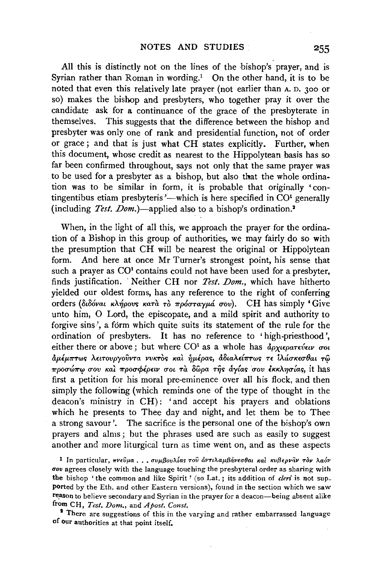All this is distinctly not on the lines of the bishop's prayer, and is Syrian rather than Roman in wording.<sup>1</sup> On the other hand, it is to be noted that even this relatively late prayer (not earlier than A. n. 300 or so) makes the bishop and presbyters, who together pray it over the candidate ask for a continuance of the grace of the presbyterate in themselves. This suggests that the difference between the bishop and presbyter was only one of rank and presidential function, not of order or grace; and that is just what CH states explicitly. Further, when this document, whose credit as nearest to the Hippolytean basis has so far been confirmed throughout, says not only that the same prayer was to be used for a presbyter as a bishop, but also that the whole ordination was to be similar in form, it is probable that originally 'contingentibus etiam presbyteris '—which is here specified in  $CO<sup>t</sup>$  generally (including *Test. Dom.*)—applied also to a bishop's ordination.<sup>2</sup>

When, in the light of all this, we approach the prayer for the ordination of a Bishop in this group of authorities, we may fairly do so with the presumption that CH will be nearest the original or Hippolytean form. And here at once Mr Turner's strongest point, his sense that such a prayer as CO<sup>1</sup> contains could not have been used for a presbyter, finds justification. ·Neither CH nor *Test. Dom.,* which have hitherto yielded our oldest forms, has any reference to the right of conferring orders (διδόναι κλήρους κατά τὸ πρόσταγμά σου). CH has simply 'Give unto him, 0 Lord, the episcopate, and a mild spirit and authority to forgive sins', a form which quite suits its statement of the rule for the ordination of presbyters. It has no reference to 'high-priesthood', either there or above; but where  $CO<sup>t</sup>$  as a whole has  $\phi_{\alpha\beta}$ <sub>LepaTE</sub> $\psi_{\alpha\beta}$   $\sigma_{\alpha\beta}$  $d\mu$ έμπτως λειτουργούντα νυκτός και ήμέρας, αδιαλείπτως τε ιλάσκεσθαι τώ  $\pi\rho$ οσώπω σου και προσφέρειν σοι τα δώρα της αγίας σου εκκλησίας, it has first a petition for his moral pre-eminence over all his flock, and then simply the following (which reminds one of the type of thought in the deacon's ministry in CH): 'and accept his prayers and oblations which he presents to Thee day and night, and let them be to Thee a strong savour'. The sacrifice is the personal one of the bishop's own prayers and alms; but the phrases used are such as easily to suggest another and more liturgical turn as time went on, and as these aspects

<sup>1</sup> In particular, πνεύμα . . . συμβουλίαs του αντιλαμβάνεσθαι και κυβερναν τον λαόν *aov* agrees closely with the language touching the presbyteral order as sharing with the bishop ' the common and like Spirit ' (so Lat. ; its addition of *cleri* is not sup. ported by the Eth. and other Eastern versions), found in the section which we saw reason to believe secondary and Syrian in the prayer for a deacon-being absent alike from CH, *Test. Dom.*, and *A post. Const.* **1** There are suggestions of this in the varying and rather embarrassed language

of our authorities at that point itself.